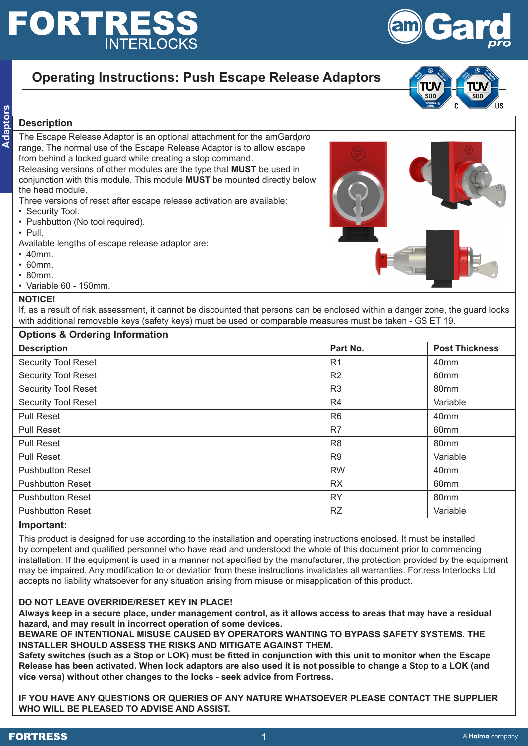# **FORTRESS INTERLOCKS**

## **Operating Instructions: Push Escape Release Adaptors**

**Adaptes**<br> **Description**<br> **Adaptes**<br> **Adaptes**<br> **Adaptes** The Escape Release Adaptor is an optional attachment for the amGard*pro* range. The normal use of the Escape Release Adaptor is to allow escape from behind a locked guard while creating a stop command. Releasing versions of other modules are the type that **MUST** be used in conjunction with this module. This module **MUST** be mounted directly below the head module.

Three versions of reset after escape release activation are available:

- Security Tool.
- Pushbutton (No tool required).
- Pull.

Available lengths of escape release adaptor are:

- 40mm.
- 60mm.
- 80mm.
- Variable 60 150mm.

#### **NOTICE!**

If, as a result of risk assessment, it cannot be discounted that persons can be enclosed within a danger zone, the guard locks with additional removable keys (safety keys) must be used or comparable measures must be taken - GS ET 19.

| <b>Options &amp; Ordering Information</b> |                |                       |  |  |
|-------------------------------------------|----------------|-----------------------|--|--|
| <b>Description</b>                        | Part No.       | <b>Post Thickness</b> |  |  |
| <b>Security Tool Reset</b>                | R <sub>1</sub> | 40 <sub>mm</sub>      |  |  |
| <b>Security Tool Reset</b>                | R2             | 60 <sub>mm</sub>      |  |  |
| <b>Security Tool Reset</b>                | R <sub>3</sub> | 80 <sub>mm</sub>      |  |  |
| <b>Security Tool Reset</b>                | R4             | Variable              |  |  |
| <b>Pull Reset</b>                         | R <sub>6</sub> | 40 <sub>mm</sub>      |  |  |
| <b>Pull Reset</b>                         | R7             | 60 <sub>mm</sub>      |  |  |
| <b>Pull Reset</b>                         | R <sub>8</sub> | 80 <sub>mm</sub>      |  |  |
| <b>Pull Reset</b>                         | R <sub>9</sub> | Variable              |  |  |
| <b>Pushbutton Reset</b>                   | <b>RW</b>      | 40 <sub>mm</sub>      |  |  |
| <b>Pushbutton Reset</b>                   | <b>RX</b>      | 60 <sub>mm</sub>      |  |  |
| <b>Pushbutton Reset</b>                   | <b>RY</b>      | 80 <sub>mm</sub>      |  |  |
| <b>Pushbutton Reset</b>                   | <b>RZ</b>      | Variable              |  |  |
| Imnortont:                                |                |                       |  |  |

#### **Important:**

This product is designed for use according to the installation and operating instructions enclosed. It must be installed by competent and qualified personnel who have read and understood the whole of this document prior to commencing installation. If the equipment is used in a manner not specified by the manufacturer, the protection provided by the equipment may be impaired. Any modification to or deviation from these instructions invalidates all warranties. Fortress Interlocks Ltd accepts no liability whatsoever for any situation arising from misuse or misapplication of this product.

### **DO NOT LEAVE OVERRIDE/RESET KEY IN PLACE!**

**Always keep in a secure place, under management control, as it allows access to areas that may have a residual hazard, and may result in incorrect operation of some devices.**

**BEWARE OF INTENTIONAL MISUSE CAUSED BY OPERATORS WANTING TO BYPASS SAFETY SYSTEMS. THE INSTALLER SHOULD ASSESS THE RISKS AND MITIGATE AGAINST THEM.** 

**Safety switches (such as a Stop or LOK) must be fitted in conjunction with this unit to monitor when the Escape Release has been activated. When lock adaptors are also used it is not possible to change a Stop to a LOK (and vice versa) without other changes to the locks - seek advice from Fortress.** 

**IF YOU HAVE ANY QUESTIONS OR QUERIES OF ANY NATURE WHATSOEVER PLEASE CONTACT THE SUPPLIER WHO WILL BE PLEASED TO ADVISE AND ASSIST.**



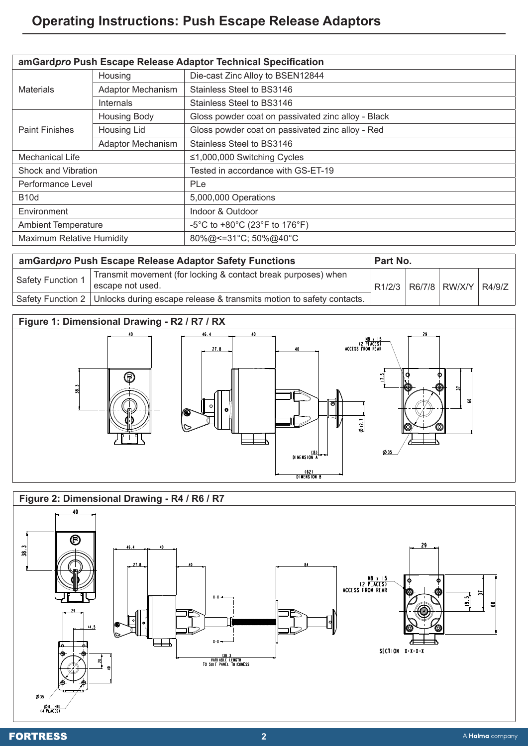## **Operating Instructions: Push Escape Release Adaptors**

| amGardpro Push Escape Release Adaptor Technical Specification |                          |                                                    |  |
|---------------------------------------------------------------|--------------------------|----------------------------------------------------|--|
| <b>Materials</b>                                              | Housing                  | Die-cast Zinc Alloy to BSEN12844                   |  |
|                                                               | <b>Adaptor Mechanism</b> | Stainless Steel to BS3146                          |  |
|                                                               | <b>Internals</b>         | Stainless Steel to BS3146                          |  |
| <b>Paint Finishes</b>                                         | <b>Housing Body</b>      | Gloss powder coat on passivated zinc alloy - Black |  |
|                                                               | Housing Lid              | Gloss powder coat on passivated zinc alloy - Red   |  |
|                                                               | Adaptor Mechanism        | Stainless Steel to BS3146                          |  |
| Mechanical Life                                               |                          | $\leq$ 1,000,000 Switching Cycles                  |  |
| Shock and Vibration                                           |                          | Tested in accordance with GS-ET-19                 |  |
| Performance Level                                             |                          | PLe                                                |  |
| <b>B10d</b>                                                   |                          | 5,000,000 Operations                               |  |
| Environment                                                   |                          | Indoor & Outdoor                                   |  |
| <b>Ambient Temperature</b>                                    |                          | -5°C to +80°C (23°F to 176°F)                      |  |
| <b>Maximum Relative Humidity</b>                              |                          | 80%@<=31°C; 50%@40°C                               |  |

| amGardpro Push Escape Release Adaptor Safety Functions |                                                                                          | Part No. |  |                          |  |
|--------------------------------------------------------|------------------------------------------------------------------------------------------|----------|--|--------------------------|--|
| Safety Function 1                                      | Transmit movement (for locking & contact break purposes) when<br>escape not used.        | R1/2/3   |  | R6/7/8   RW/X/Y   R4/9/Z |  |
|                                                        | Safety Function 2   Unlocks during escape release & transmits motion to safety contacts. |          |  |                          |  |

### **Figure 1: Dimensional Drawing - R2 / R7 / RX**